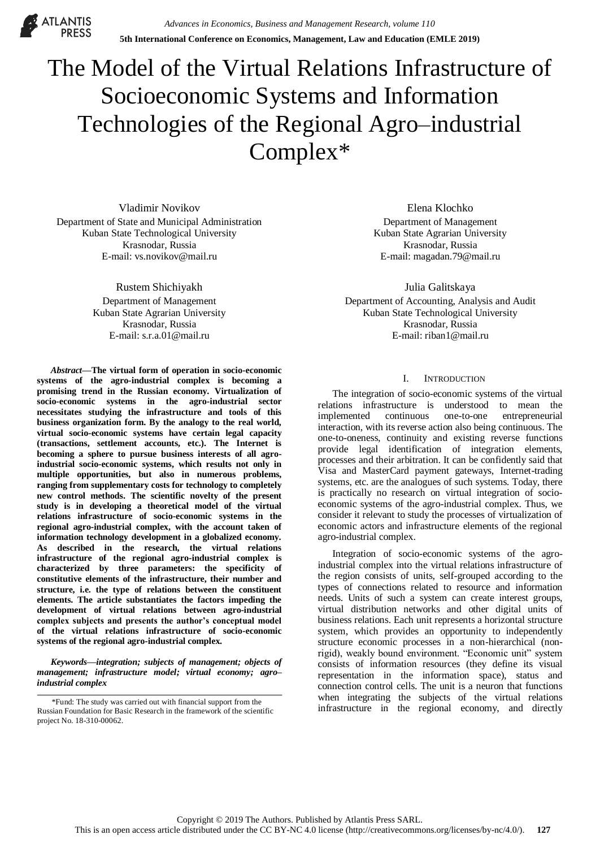**ATLANTIS** 

# The Model of the Virtual Relations Infrastructure of Socioeconomic Systems and Information Technologies of the Regional Agro–industrial Complex\*

Vladimir Novikov Department of State and Municipal Administration Kuban State Technological University Krasnodar, Russia E-mail: vs.novikov@mail.ru

> Rustem Shichiyakh Department of Management Kuban State Agrarian University Krasnodar, Russia E-mail: s.r.a.01@mail.ru

*Abstract***—The virtual form of operation in socio-economic systems of the agro-industrial complex is becoming a promising trend in the Russian economy. Virtualization of socio-economic systems in the agro-industrial sector necessitates studying the infrastructure and tools of this business organization form. By the analogy to the real world, virtual socio-economic systems have certain legal capacity (transactions, settlement accounts, etc.). The Internet is becoming a sphere to pursue business interests of all agroindustrial socio-economic systems, which results not only in multiple opportunities, but also in numerous problems, ranging from supplementary costs for technology to completely new control methods. The scientific novelty of the present study is in developing a theoretical model of the virtual relations infrastructure of socio-economic systems in the regional agro-industrial complex, with the account taken of information technology development in a globalized economy. As described in the research, the virtual relations infrastructure of the regional agro-industrial complex is characterized by three parameters: the specificity of constitutive elements of the infrastructure, their number and structure, i.e. the type of relations between the constituent elements. The article substantiates the factors impeding the development of virtual relations between agro-industrial complex subjects and presents the author's conceptual model of the virtual relations infrastructure of socio-economic systems of the regional agro-industrial complex.**

*Keywords—integration; subjects of management; objects of management; infrastructure model; virtual economy; agro– industrial complex*

Elena Klochko Department of Management Kuban State Agrarian University Krasnodar, Russia E-mail: magadan.79@mail.ru

Julia Galitskaya Department of Accounting, Analysis and Audit Kuban State Technological University Krasnodar, Russia E-mail: riban1@mail.ru

# I. INTRODUCTION

The integration of socio-economic systems of the virtual relations infrastructure is understood to mean the implemented continuous one-to-one entrepreneurial interaction, with its reverse action also being continuous. The one-to-oneness, continuity and existing reverse functions provide legal identification of integration elements, processes and their arbitration. It can be confidently said that Visa and MasterCard payment gateways, Internet-trading systems, etc. are the analogues of such systems. Today, there is practically no research on virtual integration of socioeconomic systems of the agro-industrial complex. Thus, we consider it relevant to study the processes of virtualization of economic actors and infrastructure elements of the regional agro-industrial complex.

Integration of socio-economic systems of the agroindustrial complex into the virtual relations infrastructure of the region consists of units, self-grouped according to the types of connections related to resource and information needs. Units of such a system can create interest groups, virtual distribution networks and other digital units of business relations. Each unit represents a horizontal structure system, which provides an opportunity to independently structure economic processes in a non-hierarchical (nonrigid), weakly bound environment. "Economic unit" system consists of information resources (they define its visual representation in the information space), status and connection control cells. The unit is a neuron that functions when integrating the subjects of the virtual relations Fund: The study was carried out with financial support from the with the regional economy, and directly in the regional economy, and directly

Russian Foundation for Basic Research in the framework of the scientific project No. 18-310-00062.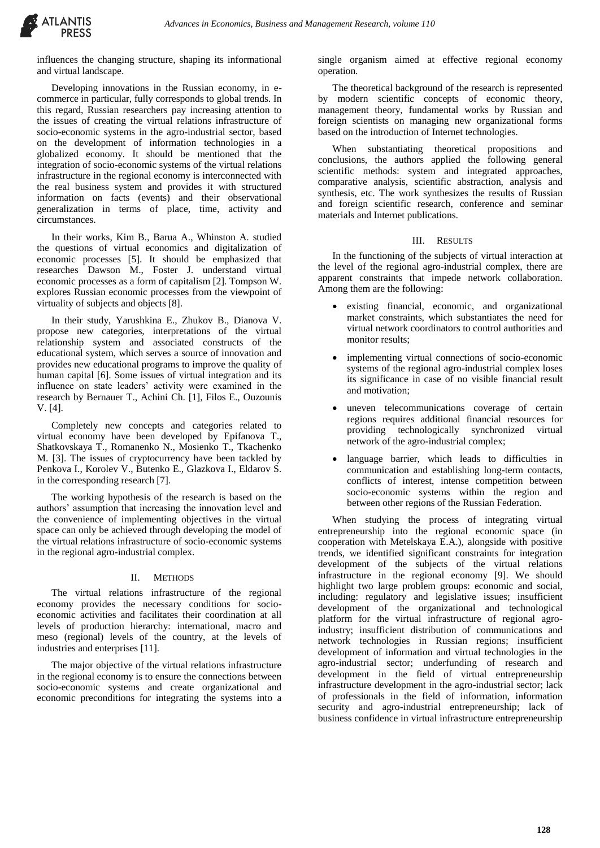

influences the changing structure, shaping its informational and virtual landscape.

Developing innovations in the Russian economy, in ecommerce in particular, fully corresponds to global trends. In this regard, Russian researchers pay increasing attention to the issues of creating the virtual relations infrastructure of socio-economic systems in the agro-industrial sector, based on the development of information technologies in a globalized economy. It should be mentioned that the integration of socio-economic systems of the virtual relations infrastructure in the regional economy is interconnected with the real business system and provides it with structured information on facts (events) and their observational generalization in terms of place, time, activity and circumstances.

In their works, Kim B., Barua A., Whinston A. studied the questions of virtual economics and digitalization of economic processes [5]. It should be emphasized that researches Dawson M., Foster J. understand virtual economic processes as a form of capitalism [2]. Tompson W. explores Russian economic processes from the viewpoint of virtuality of subjects and objects [8].

In their study, Yarushkina E., Zhukov B., Dianova V. propose new categories, interpretations of the virtual relationship system and associated constructs of the educational system, which serves a source of innovation and provides new educational programs to improve the quality of human capital [6]. Some issues of virtual integration and its influence on state leaders' activity were examined in the research by Bernauer T., Achini Ch. [1], Filos E., Ouzounis V. [4].

Completely new concepts and categories related to virtual economy have been developed by Epifanova T., Shatkovskaya T., Romanenko N., Mosienko T., Tkachenko M. [3]. The issues of cryptocurrency have been tackled by Penkova I., Korolev V., Butenko E., Glazkova I., Eldarov S. in the corresponding research [7].

The working hypothesis of the research is based on the authors' assumption that increasing the innovation level and the convenience of implementing objectives in the virtual space can only be achieved through developing the model of the virtual relations infrastructure of socio-economic systems in the regional agro-industrial complex.

# II. METHODS

The virtual relations infrastructure of the regional economy provides the necessary conditions for socioeconomic activities and facilitates their coordination at all levels of production hierarchy: international, macro and meso (regional) levels of the country, at the levels of industries and enterprises [11].

The major objective of the virtual relations infrastructure in the regional economy is to ensure the connections between socio-economic systems and create organizational and economic preconditions for integrating the systems into a single organism aimed at effective regional economy operation.

The theoretical background of the research is represented by modern scientific concepts of economic theory, management theory, fundamental works by Russian and foreign scientists on managing new organizational forms based on the introduction of Internet technologies.

When substantiating theoretical propositions and conclusions, the authors applied the following general scientific methods: system and integrated approaches, comparative analysis, scientific abstraction, analysis and synthesis, etc. The work synthesizes the results of Russian and foreign scientific research, conference and seminar materials and Internet publications.

# III. RESULTS

In the functioning of the subjects of virtual interaction at the level of the regional agro-industrial complex, there are apparent constraints that impede network collaboration. Among them are the following:

- existing financial, economic, and organizational market constraints, which substantiates the need for virtual network coordinators to control authorities and monitor results;
- implementing virtual connections of socio-economic systems of the regional agro-industrial complex loses its significance in case of no visible financial result and motivation;
- uneven telecommunications coverage of certain regions requires additional financial resources for providing technologically synchronized virtual network of the agro-industrial complex;
- language barrier, which leads to difficulties in communication and establishing long-term contacts, conflicts of interest, intense competition between socio-economic systems within the region and between other regions of the Russian Federation.

When studying the process of integrating virtual entrepreneurship into the regional economic space (in cooperation with Metelskaya E.A.), alongside with positive trends, we identified significant constraints for integration development of the subjects of the virtual relations infrastructure in the regional economy [9]. We should highlight two large problem groups: economic and social, including: regulatory and legislative issues; insufficient development of the organizational and technological platform for the virtual infrastructure of regional agroindustry; insufficient distribution of communications and network technologies in Russian regions; insufficient development of information and virtual technologies in the agro-industrial sector; underfunding of research and development in the field of virtual entrepreneurship infrastructure development in the agro-industrial sector; lack of professionals in the field of information, information security and agro-industrial entrepreneurship; lack of business confidence in virtual infrastructure entrepreneurship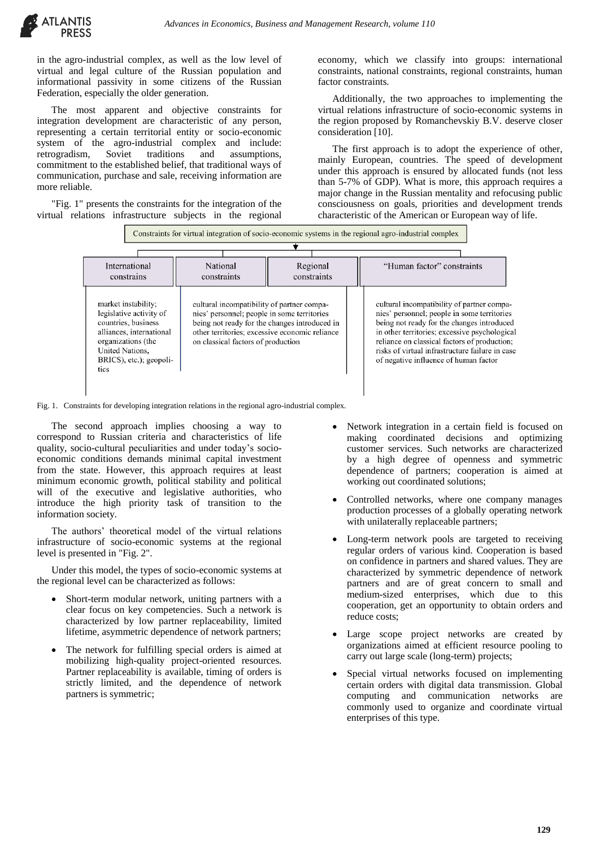

in the agro-industrial complex, as well as the low level of virtual and legal culture of the Russian population and informational passivity in some citizens of the Russian Federation, especially the older generation.

The most apparent and objective constraints for integration development are characteristic of any person, representing a certain territorial entity or socio-economic system of the agro-industrial complex and include:<br>retrogradism, Soviet traditions and assumptions, retrogradism, Soviet traditions and assumptions, commitment to the established belief, that traditional ways of communication, purchase and sale, receiving information are more reliable.

"Fig. 1" presents the constraints for the integration of the virtual relations infrastructure subjects in the regional economy, which we classify into groups: international constraints, national constraints, regional constraints, human factor constraints.

Additionally, the two approaches to implementing the virtual relations infrastructure of socio-economic systems in the region proposed by Romanchevskiy B.V. deserve closer consideration [10].

The first approach is to adopt the experience of other, mainly European, countries. The speed of development under this approach is ensured by allocated funds (not less than 5-7% of GDP). What is more, this approach requires a major change in the Russian mentality and refocusing public consciousness on goals, priorities and development trends characteristic of the American or European way of life.

|                                                                                                                                                                               |                                                                                                                                                                                                                                    |                         | Constraints for virtual integration of socio-economic systems in the regional agro-industrial complex                                                                                                                                                                                                                                |
|-------------------------------------------------------------------------------------------------------------------------------------------------------------------------------|------------------------------------------------------------------------------------------------------------------------------------------------------------------------------------------------------------------------------------|-------------------------|--------------------------------------------------------------------------------------------------------------------------------------------------------------------------------------------------------------------------------------------------------------------------------------------------------------------------------------|
| International<br>constrains                                                                                                                                                   | National<br>constraints                                                                                                                                                                                                            | Regional<br>constraints | "Human factor" constraints                                                                                                                                                                                                                                                                                                           |
| market instability;<br>legislative activity of<br>countries, business<br>alliances, international<br>organizations (the<br>United Nations.<br>BRICS), etc.); geopoli-<br>tics | cultural incompatibility of partner compa-<br>nies' personnel; people in some territories<br>being not ready for the changes introduced in<br>other territories; excessive economic reliance<br>on classical factors of production |                         | cultural incompatibility of partner compa-<br>nies' personnel; people in some territories<br>being not ready for the changes introduced<br>in other territories; excessive psychological<br>reliance on classical factors of production;<br>risks of virtual infrastructure failure in case<br>of negative influence of human factor |

Fig. 1. Constraints for developing integration relations in the regional agro-industrial complex.

The second approach implies choosing a way to correspond to Russian criteria and characteristics of life quality, socio-cultural peculiarities and under today's socioeconomic conditions demands minimal capital investment from the state. However, this approach requires at least minimum economic growth, political stability and political will of the executive and legislative authorities, who introduce the high priority task of transition to the information society.

The authors' theoretical model of the virtual relations infrastructure of socio-economic systems at the regional level is presented in "Fig. 2".

Under this model, the types of socio-economic systems at the regional level can be characterized as follows:

- Short-term modular network, uniting partners with a clear focus on key competencies. Such a network is characterized by low partner replaceability, limited lifetime, asymmetric dependence of network partners;
- The network for fulfilling special orders is aimed at mobilizing high-quality project-oriented resources. Partner replaceability is available, timing of orders is strictly limited, and the dependence of network partners is symmetric;
- Network integration in a certain field is focused on making coordinated decisions and optimizing customer services. Such networks are characterized by a high degree of openness and symmetric dependence of partners; cooperation is aimed at working out coordinated solutions;
- Controlled networks, where one company manages production processes of a globally operating network with unilaterally replaceable partners;
- Long-term network pools are targeted to receiving regular orders of various kind. Cooperation is based on confidence in partners and shared values. They are characterized by symmetric dependence of network partners and are of great concern to small and medium-sized enterprises, which due to this cooperation, get an opportunity to obtain orders and reduce costs;
- Large scope project networks are created by organizations aimed at efficient resource pooling to carry out large scale (long-term) projects;
- Special virtual networks focused on implementing certain orders with digital data transmission. Global computing and communication networks are commonly used to organize and coordinate virtual enterprises of this type.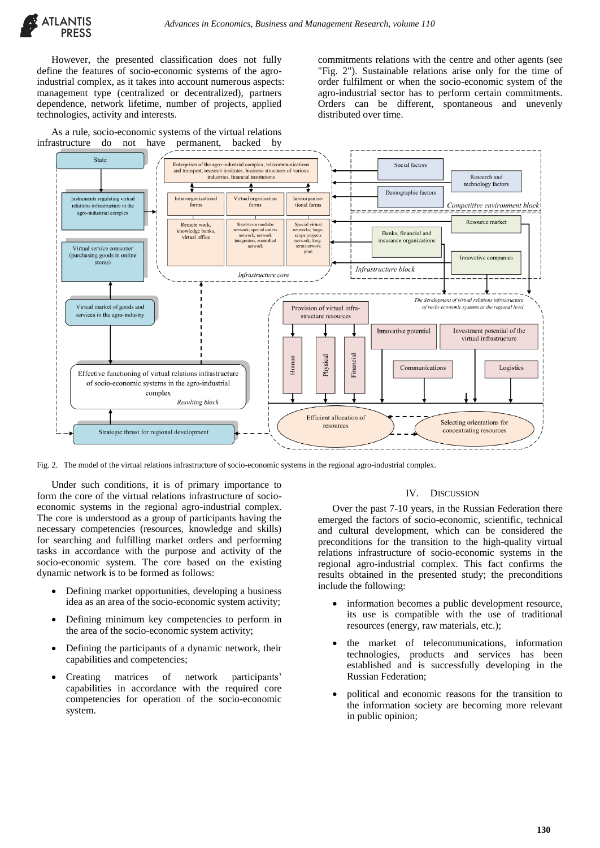

However, the presented classification does not fully define the features of socio-economic systems of the agroindustrial complex, as it takes into account numerous aspects: management type (centralized or decentralized), partners dependence, network lifetime, number of projects, applied technologies, activity and interests.

As a rule, socio-economic systems of the virtual relations infrastructure do not have permanent, backed by

commitments relations with the centre and other agents (see "Fig. 2"). Sustainable relations arise only for the time of order fulfilment or when the socio-economic system of the agro-industrial sector has to perform certain commitments. Orders can be different, spontaneous and unevenly distributed over time.



Fig. 2. The model of the virtual relations infrastructure of socio-economic systems in the regional agro-industrial complex.

Under such conditions, it is of primary importance to form the core of the virtual relations infrastructure of socioeconomic systems in the regional agro-industrial complex. The core is understood as a group of participants having the necessary competencies (resources, knowledge and skills) for searching and fulfilling market orders and performing tasks in accordance with the purpose and activity of the socio-economic system. The core based on the existing dynamic network is to be formed as follows:

- Defining market opportunities, developing a business idea as an area of the socio-economic system activity;
- Defining minimum key competencies to perform in the area of the socio-economic system activity;
- Defining the participants of a dynamic network, their capabilities and competencies;
- Creating matrices of network participants' capabilities in accordance with the required core competencies for operation of the socio-economic system.

### IV. DISCUSSION

Over the past 7-10 years, in the Russian Federation there emerged the factors of socio-economic, scientific, technical and cultural development, which can be considered the preconditions for the transition to the high-quality virtual relations infrastructure of socio-economic systems in the regional agro-industrial complex. This fact confirms the results obtained in the presented study; the preconditions include the following:

- information becomes a public development resource, its use is compatible with the use of traditional resources (energy, raw materials, etc.);
- the market of telecommunications, information technologies, products and services has been established and is successfully developing in the Russian Federation;
- political and economic reasons for the transition to the information society are becoming more relevant in public opinion;